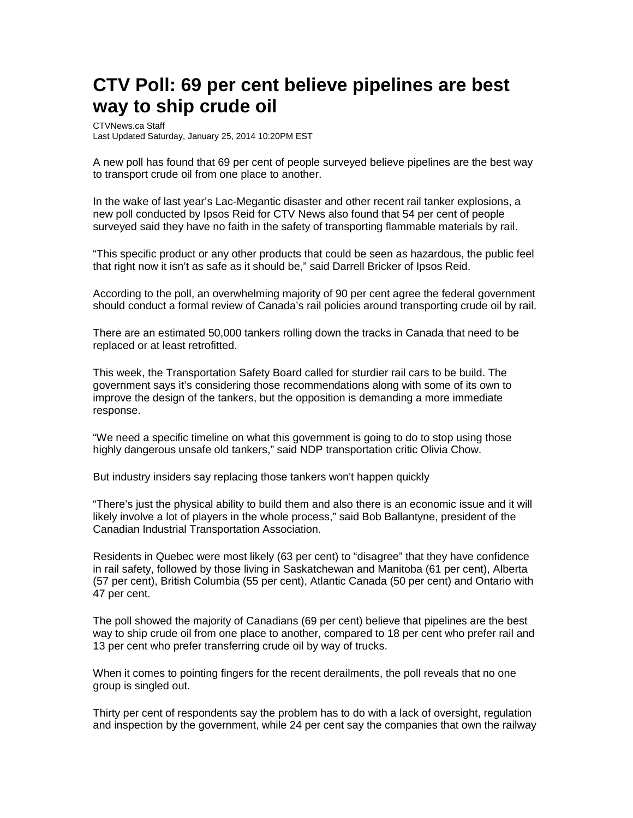## **CTV Poll: 69 per cent believe pipelines are best way to ship crude oil**

CTVNews.ca Staff Last Updated Saturday, January 25, 2014 10:20PM EST

A new poll has found that 69 per cent of people surveyed believe pipelines are the best way to transport crude oil from one place to another.

In the wake of last year's Lac-Megantic disaster and other recent rail tanker explosions, a new poll conducted by Ipsos Reid for CTV News also found that 54 per cent of people surveyed said they have no faith in the safety of transporting flammable materials by rail.

"This specific product or any other products that could be seen as hazardous, the public feel that right now it isn't as safe as it should be," said Darrell Bricker of Ipsos Reid.

According to the poll, an overwhelming majority of 90 per cent agree the federal government should conduct a formal review of Canada's rail policies around transporting crude oil by rail.

There are an estimated 50,000 tankers rolling down the tracks in Canada that need to be replaced or at least retrofitted.

This week, the Transportation Safety Board called for sturdier rail cars to be build. The government says it's considering those recommendations along with some of its own to improve the design of the tankers, but the opposition is demanding a more immediate response.

"We need a specific timeline on what this government is going to do to stop using those highly dangerous unsafe old tankers," said NDP transportation critic Olivia Chow.

But industry insiders say replacing those tankers won't happen quickly

"There's just the physical ability to build them and also there is an economic issue and it will likely involve a lot of players in the whole process," said Bob Ballantyne, president of the Canadian Industrial Transportation Association.

Residents in Quebec were most likely (63 per cent) to "disagree" that they have confidence in rail safety, followed by those living in Saskatchewan and Manitoba (61 per cent), Alberta (57 per cent), British Columbia (55 per cent), Atlantic Canada (50 per cent) and Ontario with 47 per cent.

The poll showed the majority of Canadians (69 per cent) believe that pipelines are the best way to ship crude oil from one place to another, compared to 18 per cent who prefer rail and 13 per cent who prefer transferring crude oil by way of trucks.

When it comes to pointing fingers for the recent derailments, the poll reveals that no one group is singled out.

Thirty per cent of respondents say the problem has to do with a lack of oversight, regulation and inspection by the government, while 24 per cent say the companies that own the railway